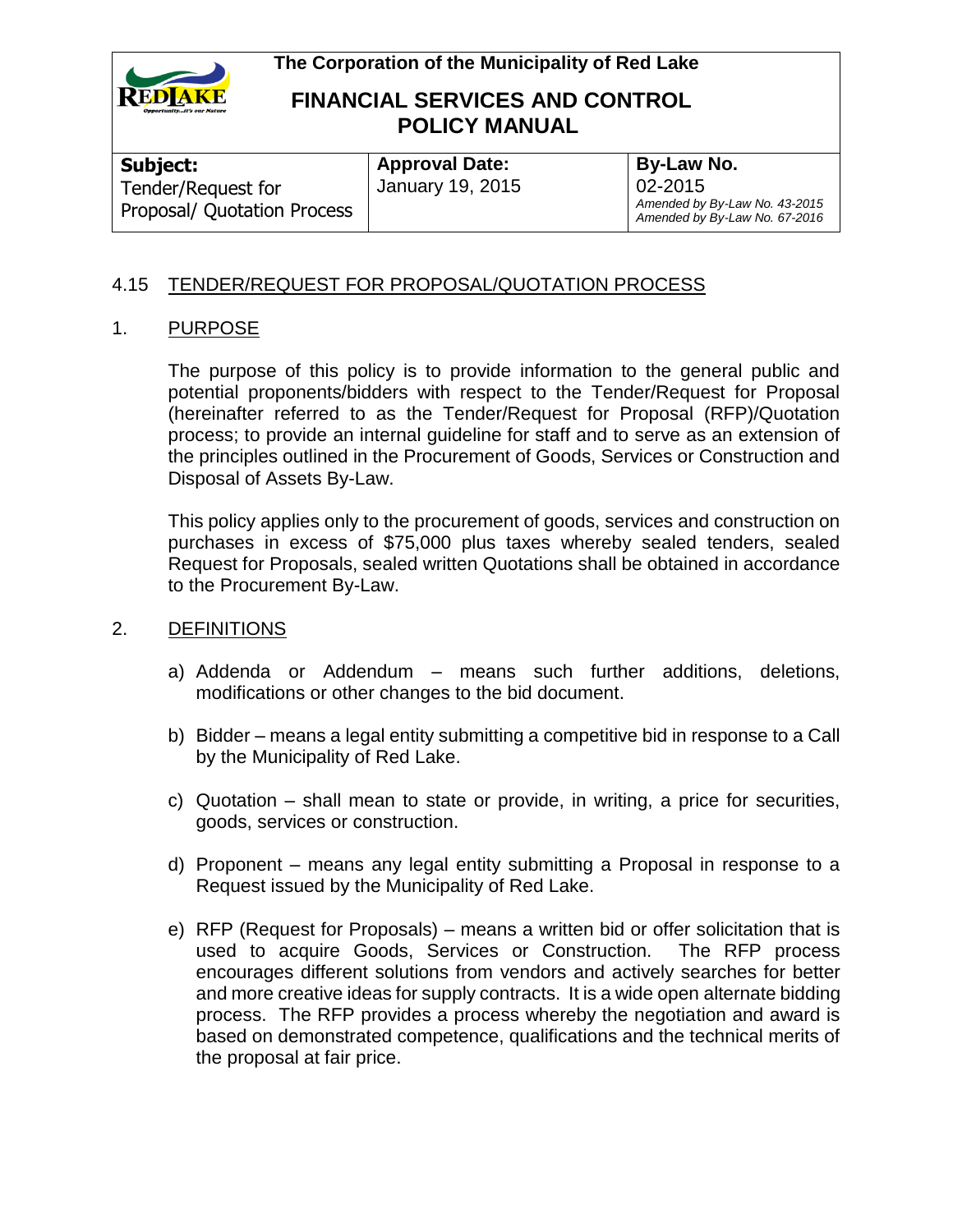

# **FINANCIAL SERVICES AND CONTROL POLICY MANUAL**

**Subject:**  Tender/Request for Proposal/ Quotation Process

**Approval Date:** January 19, 2015 **By-Law No.** 02-2015 *Amended by By-Law No. 43-2015 Amended by By-Law No. 67-2016*

### 4.15 TENDER/REQUEST FOR PROPOSAL/QUOTATION PROCESS

### 1. PURPOSE

The purpose of this policy is to provide information to the general public and potential proponents/bidders with respect to the Tender/Request for Proposal (hereinafter referred to as the Tender/Request for Proposal (RFP)/Quotation process; to provide an internal guideline for staff and to serve as an extension of the principles outlined in the Procurement of Goods, Services or Construction and Disposal of Assets By-Law.

This policy applies only to the procurement of goods, services and construction on purchases in excess of \$75,000 plus taxes whereby sealed tenders, sealed Request for Proposals, sealed written Quotations shall be obtained in accordance to the Procurement By-Law.

### 2. DEFINITIONS

- a) Addenda or Addendum means such further additions, deletions, modifications or other changes to the bid document.
- b) Bidder means a legal entity submitting a competitive bid in response to a Call by the Municipality of Red Lake.
- c) Quotation shall mean to state or provide, in writing, a price for securities, goods, services or construction.
- d) Proponent means any legal entity submitting a Proposal in response to a Request issued by the Municipality of Red Lake.
- e) RFP (Request for Proposals) means a written bid or offer solicitation that is used to acquire Goods, Services or Construction. The RFP process encourages different solutions from vendors and actively searches for better and more creative ideas for supply contracts. It is a wide open alternate bidding process. The RFP provides a process whereby the negotiation and award is based on demonstrated competence, qualifications and the technical merits of the proposal at fair price.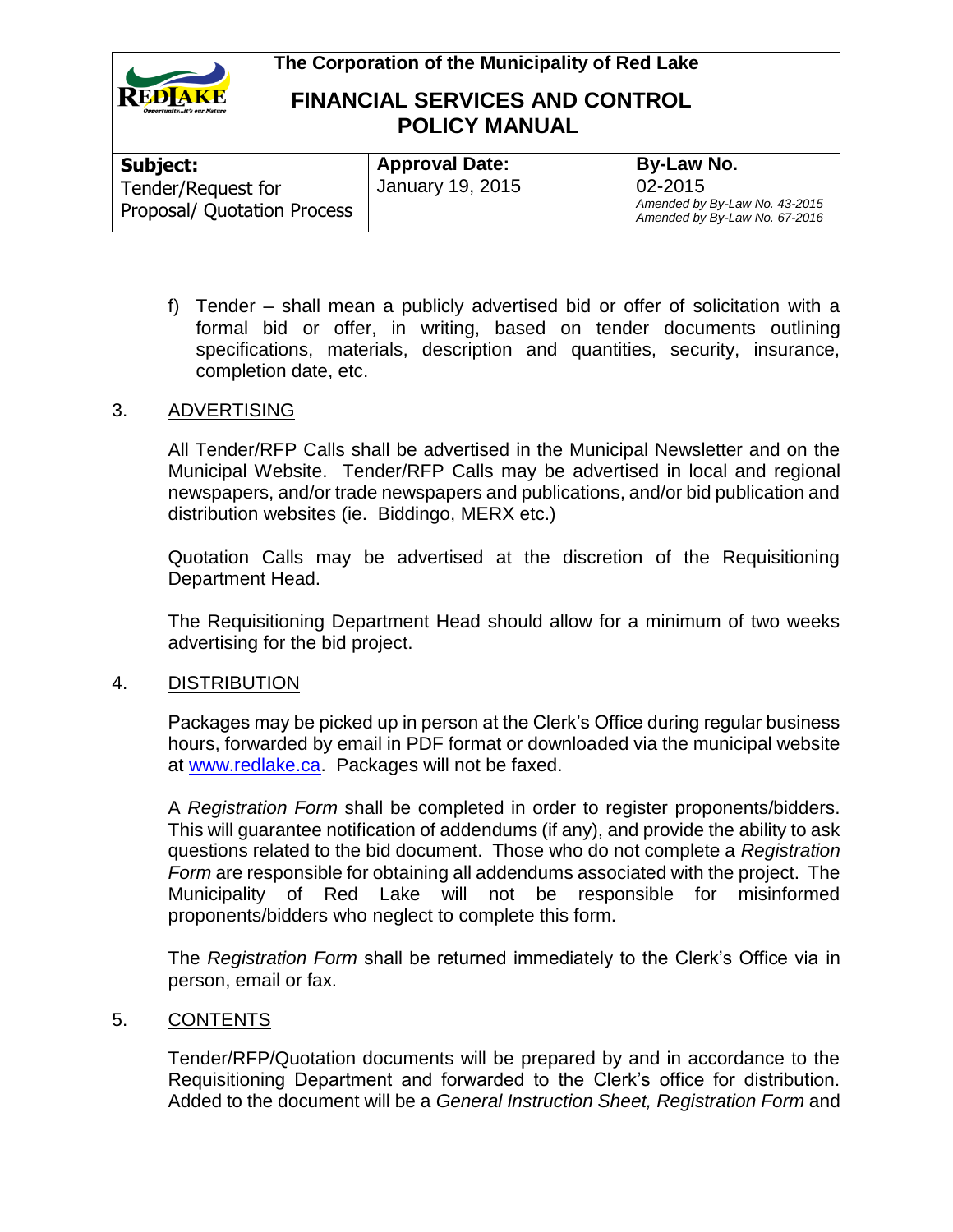

## **FINANCIAL SERVICES AND CONTROL POLICY MANUAL**

| Subject:                    | <b>Approval Date:</b> | By-Law No.                                                     |
|-----------------------------|-----------------------|----------------------------------------------------------------|
| Tender/Request for          | January 19, 2015      | $02 - 2015$                                                    |
| Proposal/ Quotation Process |                       | Amended by By-Law No. 43-2015<br>Amended by By-Law No. 67-2016 |

f) Tender – shall mean a publicly advertised bid or offer of solicitation with a formal bid or offer, in writing, based on tender documents outlining specifications, materials, description and quantities, security, insurance, completion date, etc.

### 3. ADVERTISING

All Tender/RFP Calls shall be advertised in the Municipal Newsletter and on the Municipal Website. Tender/RFP Calls may be advertised in local and regional newspapers, and/or trade newspapers and publications, and/or bid publication and distribution websites (ie. Biddingo, MERX etc.)

Quotation Calls may be advertised at the discretion of the Requisitioning Department Head.

The Requisitioning Department Head should allow for a minimum of two weeks advertising for the bid project.

#### 4. DISTRIBUTION

Packages may be picked up in person at the Clerk's Office during regular business hours, forwarded by email in PDF format or downloaded via the municipal website at [www.redlake.ca.](http://www.redlake.ca/) Packages will not be faxed.

A *Registration Form* shall be completed in order to register proponents/bidders. This will guarantee notification of addendums (if any), and provide the ability to ask questions related to the bid document. Those who do not complete a *Registration Form* are responsible for obtaining all addendums associated with the project. The Municipality of Red Lake will not be responsible for misinformed proponents/bidders who neglect to complete this form.

The *Registration Form* shall be returned immediately to the Clerk's Office via in person, email or fax.

#### 5. CONTENTS

Tender/RFP/Quotation documents will be prepared by and in accordance to the Requisitioning Department and forwarded to the Clerk's office for distribution. Added to the document will be a *General Instruction Sheet, Registration Form* and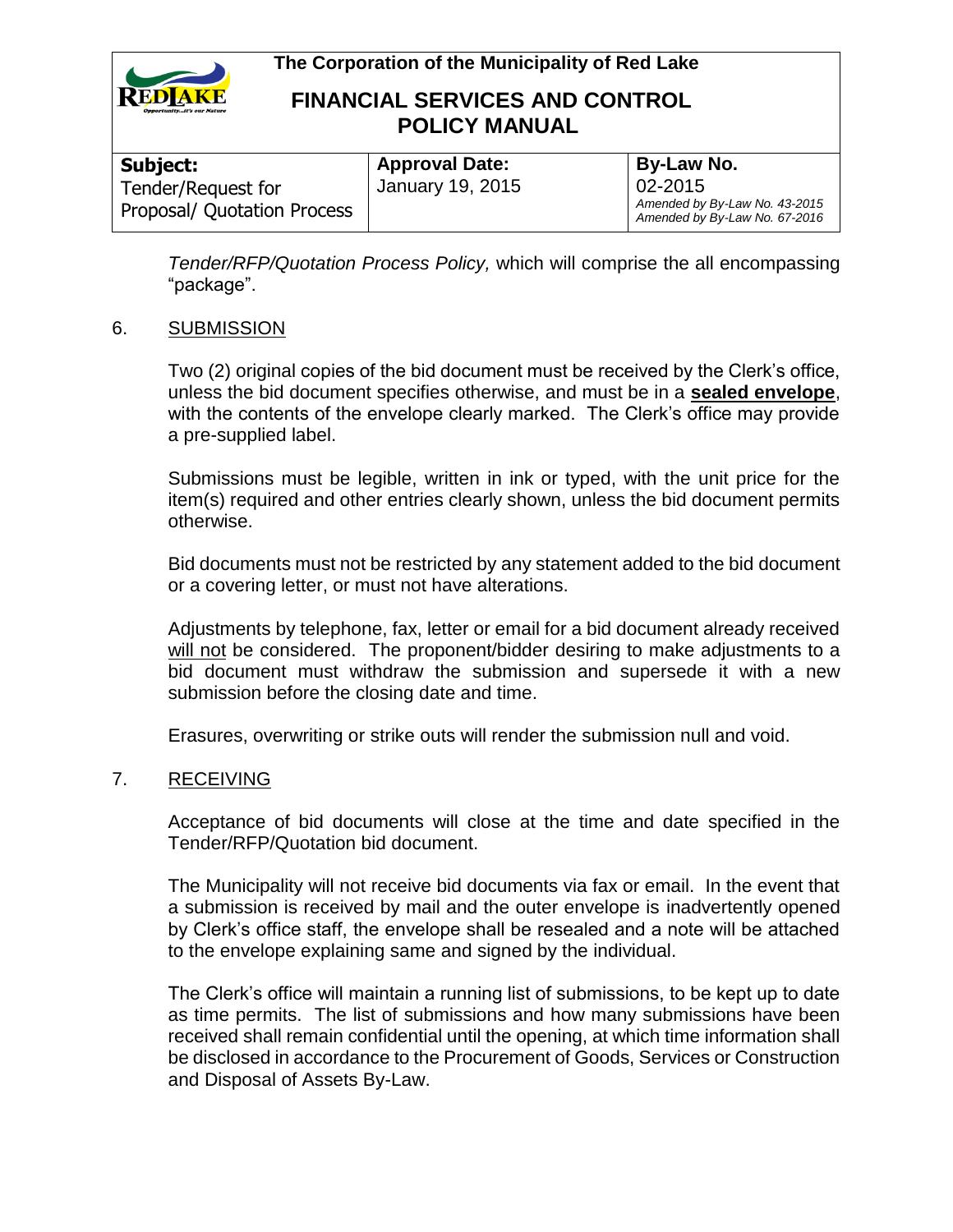

# **FINANCIAL SERVICES AND CONTROL POLICY MANUAL**

| Subject:                    |                                           |
|-----------------------------|-------------------------------------------|
| Tender/Request for          | <b>Approval Date:</b><br>January 19, 2015 |
| Proposal/ Quotation Process |                                           |

**By-Law No.** 02-2015 *Amended by By-Law No. 43-2015 Amended by By-Law No. 67-2016*

*Tender/RFP/Quotation Process Policy,* which will comprise the all encompassing "package".

### 6. SUBMISSION

Two (2) original copies of the bid document must be received by the Clerk's office, unless the bid document specifies otherwise, and must be in a **sealed envelope**, with the contents of the envelope clearly marked. The Clerk's office may provide a pre-supplied label.

Submissions must be legible, written in ink or typed, with the unit price for the item(s) required and other entries clearly shown, unless the bid document permits otherwise.

Bid documents must not be restricted by any statement added to the bid document or a covering letter, or must not have alterations.

Adjustments by telephone, fax, letter or email for a bid document already received will not be considered. The proponent/bidder desiring to make adjustments to a bid document must withdraw the submission and supersede it with a new submission before the closing date and time.

Erasures, overwriting or strike outs will render the submission null and void.

#### 7. RECEIVING

Acceptance of bid documents will close at the time and date specified in the Tender/RFP/Quotation bid document.

The Municipality will not receive bid documents via fax or email. In the event that a submission is received by mail and the outer envelope is inadvertently opened by Clerk's office staff, the envelope shall be resealed and a note will be attached to the envelope explaining same and signed by the individual.

The Clerk's office will maintain a running list of submissions, to be kept up to date as time permits. The list of submissions and how many submissions have been received shall remain confidential until the opening, at which time information shall be disclosed in accordance to the Procurement of Goods, Services or Construction and Disposal of Assets By-Law.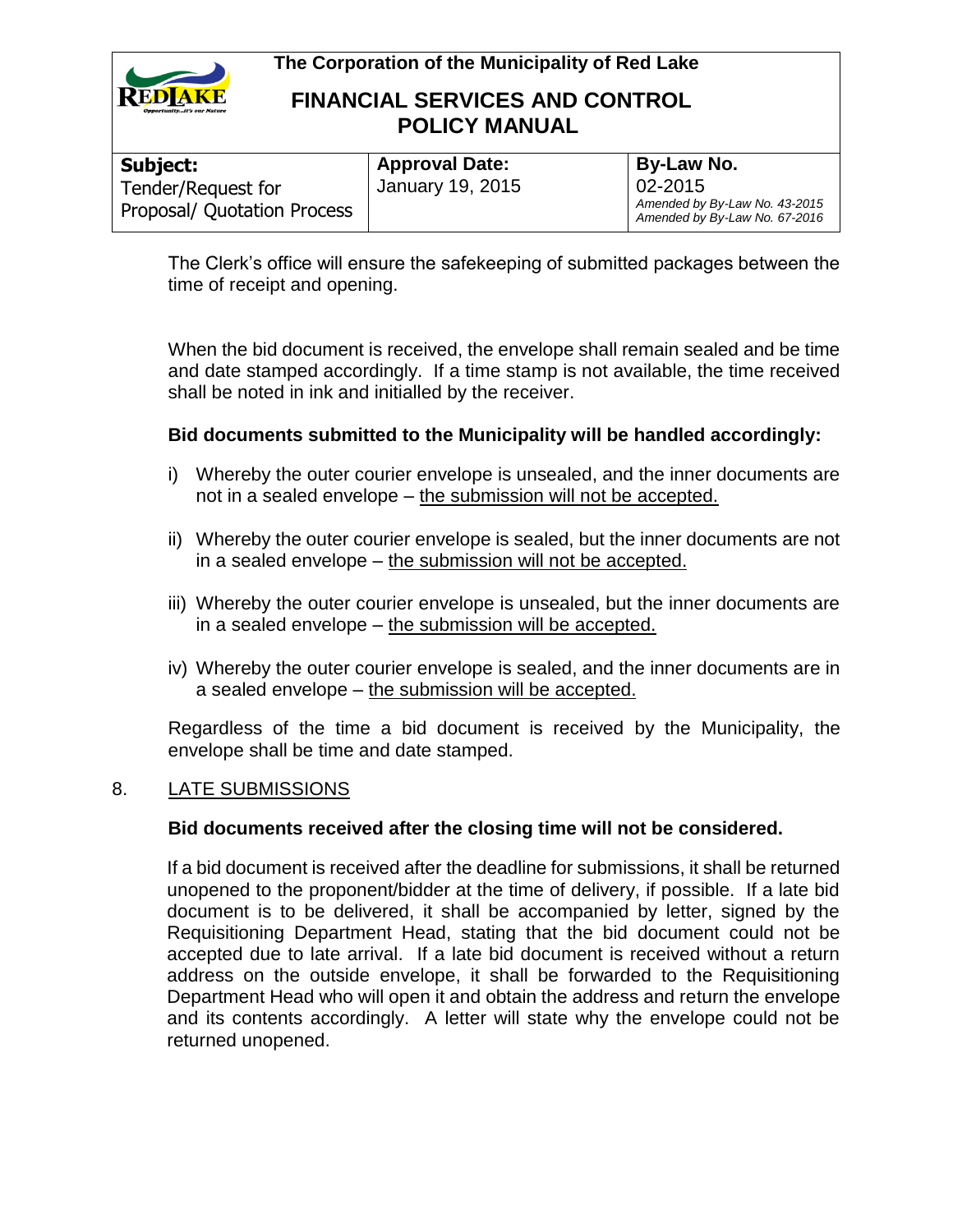

## **FINANCIAL SERVICES AND CONTROL POLICY MANUAL**

| Subject:                    | <b>Approval Date:</b> | By-Law No.                                                     |
|-----------------------------|-----------------------|----------------------------------------------------------------|
| Tender/Request for          | January 19, 2015      | 02-2015                                                        |
| Proposal/ Quotation Process |                       | Amended by By-Law No. 43-2015<br>Amended by By-Law No. 67-2016 |

The Clerk's office will ensure the safekeeping of submitted packages between the time of receipt and opening.

When the bid document is received, the envelope shall remain sealed and be time and date stamped accordingly. If a time stamp is not available, the time received shall be noted in ink and initialled by the receiver.

### **Bid documents submitted to the Municipality will be handled accordingly:**

- i) Whereby the outer courier envelope is unsealed, and the inner documents are not in a sealed envelope – the submission will not be accepted.
- ii) Whereby the outer courier envelope is sealed, but the inner documents are not in a sealed envelope – the submission will not be accepted.
- iii) Whereby the outer courier envelope is unsealed, but the inner documents are in a sealed envelope – the submission will be accepted.
- iv) Whereby the outer courier envelope is sealed, and the inner documents are in a sealed envelope – the submission will be accepted.

Regardless of the time a bid document is received by the Municipality, the envelope shall be time and date stamped.

### 8. LATE SUBMISSIONS

#### **Bid documents received after the closing time will not be considered.**

If a bid document is received after the deadline for submissions, it shall be returned unopened to the proponent/bidder at the time of delivery, if possible. If a late bid document is to be delivered, it shall be accompanied by letter, signed by the Requisitioning Department Head, stating that the bid document could not be accepted due to late arrival. If a late bid document is received without a return address on the outside envelope, it shall be forwarded to the Requisitioning Department Head who will open it and obtain the address and return the envelope and its contents accordingly. A letter will state why the envelope could not be returned unopened.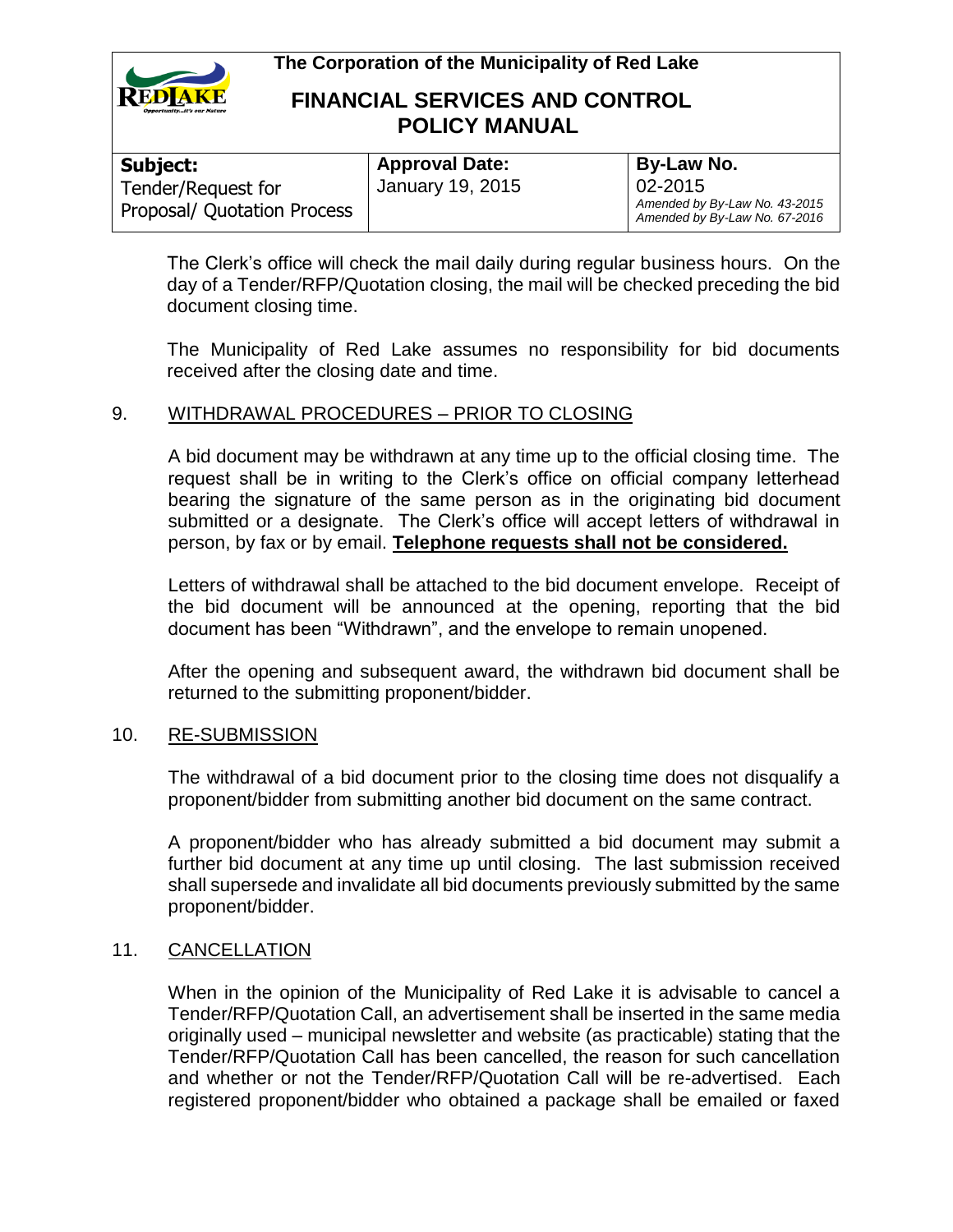

## **FINANCIAL SERVICES AND CONTROL POLICY MANUAL**

| Subject:                    | <b>Approval Date:</b> | By-Law No.                                                     |
|-----------------------------|-----------------------|----------------------------------------------------------------|
| Tender/Request for          | January 19, 2015      | 02-2015                                                        |
| Proposal/ Quotation Process |                       | Amended by By-Law No. 43-2015<br>Amended by By-Law No. 67-2016 |

The Clerk's office will check the mail daily during regular business hours. On the day of a Tender/RFP/Quotation closing, the mail will be checked preceding the bid document closing time.

The Municipality of Red Lake assumes no responsibility for bid documents received after the closing date and time.

### 9. WITHDRAWAL PROCEDURES – PRIOR TO CLOSING

A bid document may be withdrawn at any time up to the official closing time. The request shall be in writing to the Clerk's office on official company letterhead bearing the signature of the same person as in the originating bid document submitted or a designate. The Clerk's office will accept letters of withdrawal in person, by fax or by email. **Telephone requests shall not be considered.**

Letters of withdrawal shall be attached to the bid document envelope. Receipt of the bid document will be announced at the opening, reporting that the bid document has been "Withdrawn", and the envelope to remain unopened.

After the opening and subsequent award, the withdrawn bid document shall be returned to the submitting proponent/bidder.

#### 10. RE-SUBMISSION

The withdrawal of a bid document prior to the closing time does not disqualify a proponent/bidder from submitting another bid document on the same contract.

A proponent/bidder who has already submitted a bid document may submit a further bid document at any time up until closing. The last submission received shall supersede and invalidate all bid documents previously submitted by the same proponent/bidder.

### 11. CANCELLATION

When in the opinion of the Municipality of Red Lake it is advisable to cancel a Tender/RFP/Quotation Call, an advertisement shall be inserted in the same media originally used – municipal newsletter and website (as practicable) stating that the Tender/RFP/Quotation Call has been cancelled, the reason for such cancellation and whether or not the Tender/RFP/Quotation Call will be re-advertised. Each registered proponent/bidder who obtained a package shall be emailed or faxed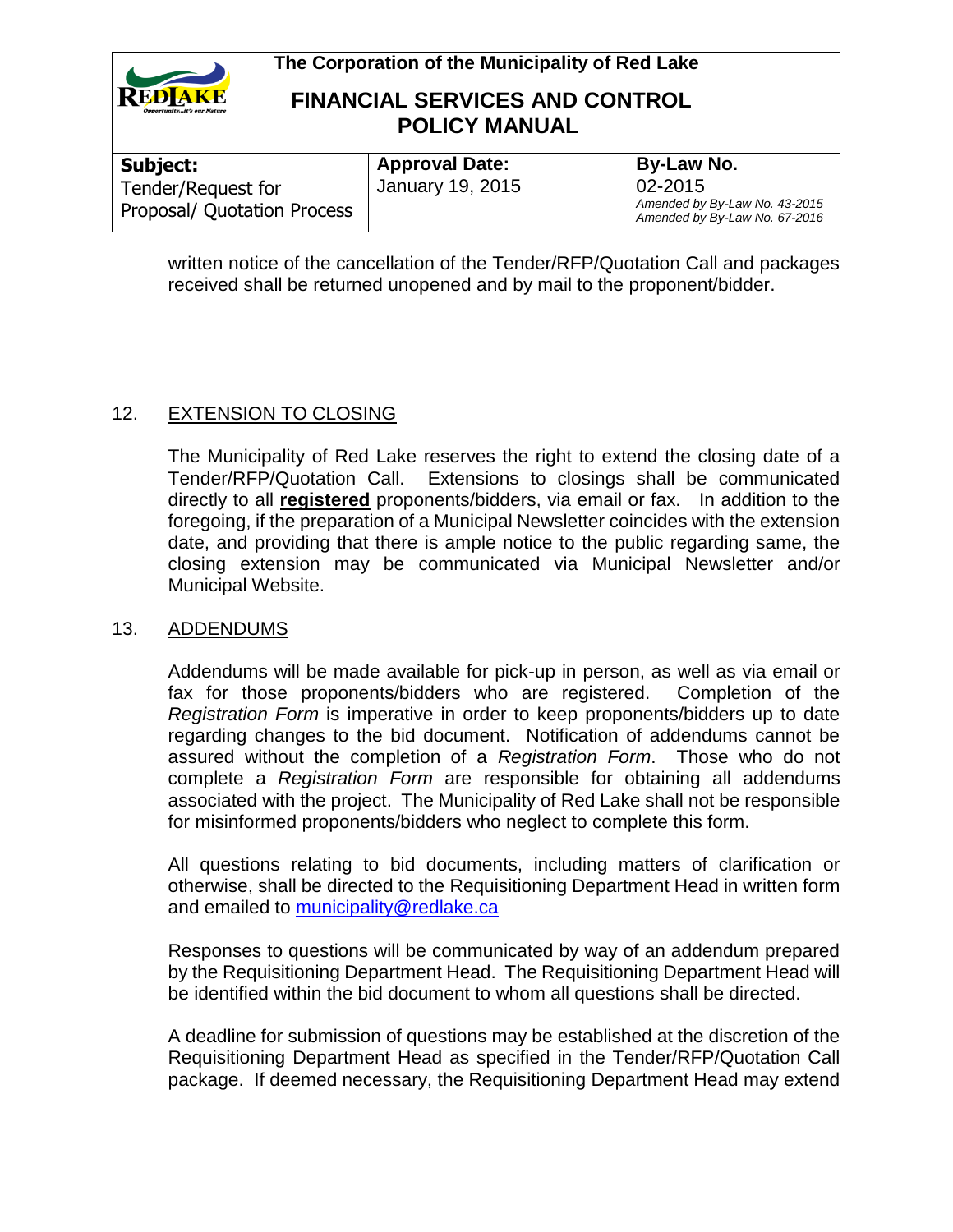



### **FINANCIAL SERVICES AND CONTROL POLICY MANUAL**

| Subject:                    |  |
|-----------------------------|--|
| Tender/Request for          |  |
| Proposal/ Quotation Process |  |

**Approval Date:** January 19, 2015 **By-Law No.** 02-2015 *Amended by By-Law No. 43-2015 Amended by By-Law No. 67-2016*

written notice of the cancellation of the Tender/RFP/Quotation Call and packages received shall be returned unopened and by mail to the proponent/bidder.

### 12. EXTENSION TO CLOSING

The Municipality of Red Lake reserves the right to extend the closing date of a Tender/RFP/Quotation Call. Extensions to closings shall be communicated directly to all **registered** proponents/bidders, via email or fax. In addition to the foregoing, if the preparation of a Municipal Newsletter coincides with the extension date, and providing that there is ample notice to the public regarding same, the closing extension may be communicated via Municipal Newsletter and/or Municipal Website.

### 13. ADDENDUMS

Addendums will be made available for pick-up in person, as well as via email or fax for those proponents/bidders who are registered. Completion of the *Registration Form* is imperative in order to keep proponents/bidders up to date regarding changes to the bid document. Notification of addendums cannot be assured without the completion of a *Registration Form*. Those who do not complete a *Registration Form* are responsible for obtaining all addendums associated with the project. The Municipality of Red Lake shall not be responsible for misinformed proponents/bidders who neglect to complete this form.

All questions relating to bid documents, including matters of clarification or otherwise, shall be directed to the Requisitioning Department Head in written form and emailed to [municipality@redlake.ca](mailto:municipality@redlake.ca)

Responses to questions will be communicated by way of an addendum prepared by the Requisitioning Department Head. The Requisitioning Department Head will be identified within the bid document to whom all questions shall be directed.

A deadline for submission of questions may be established at the discretion of the Requisitioning Department Head as specified in the Tender/RFP/Quotation Call package. If deemed necessary, the Requisitioning Department Head may extend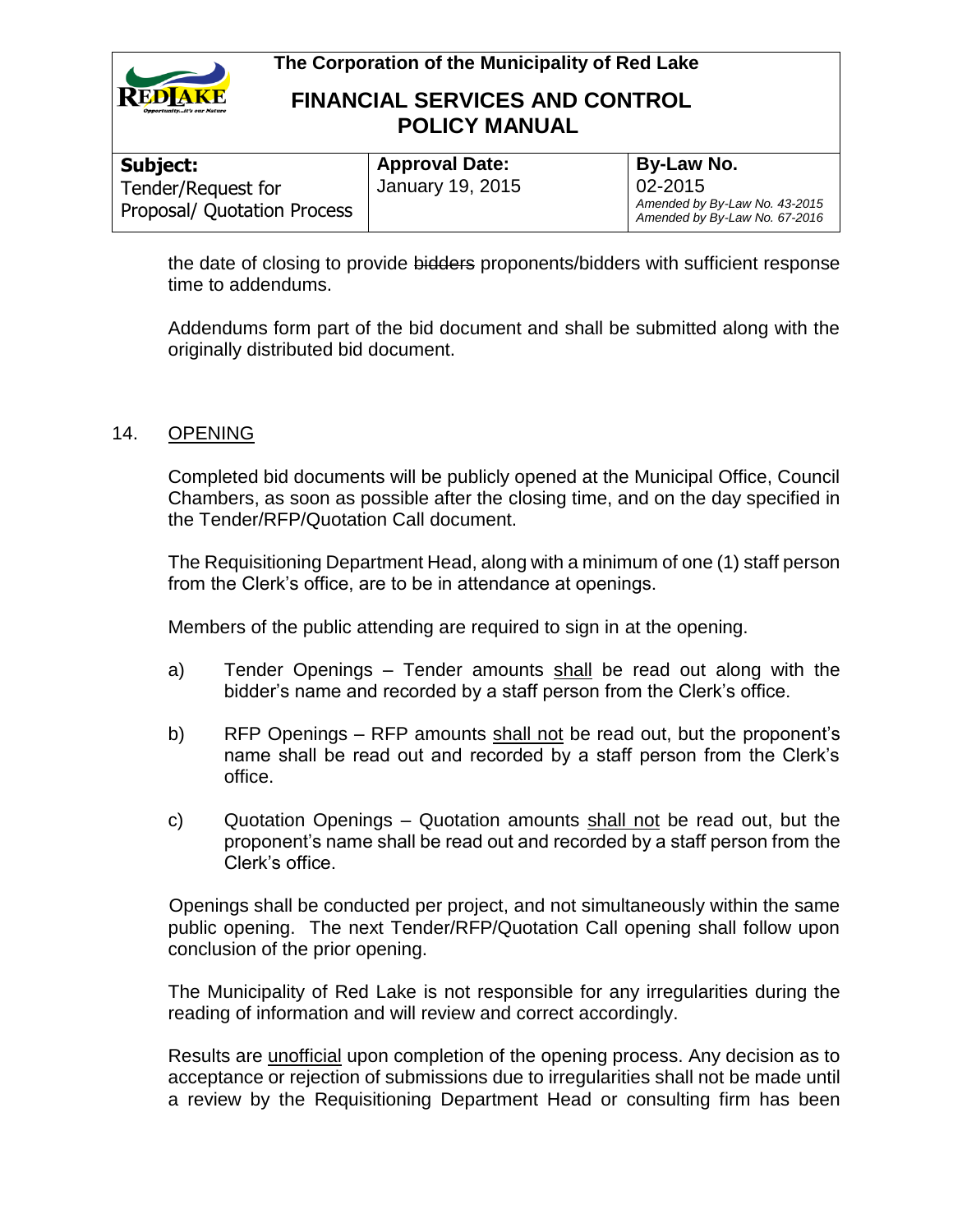

## **FINANCIAL SERVICES AND CONTROL POLICY MANUAL**

| Subject:                    | <b>Approval Date:</b> | By-Law No.                                                     |
|-----------------------------|-----------------------|----------------------------------------------------------------|
| Tender/Request for          | January 19, 2015      | 02-2015                                                        |
| Proposal/ Quotation Process |                       | Amended by By-Law No. 43-2015<br>Amended by By-Law No. 67-2016 |

the date of closing to provide bidders proponents/bidders with sufficient response time to addendums.

Addendums form part of the bid document and shall be submitted along with the originally distributed bid document.

### 14. OPENING

Completed bid documents will be publicly opened at the Municipal Office, Council Chambers, as soon as possible after the closing time, and on the day specified in the Tender/RFP/Quotation Call document.

The Requisitioning Department Head, along with a minimum of one (1) staff person from the Clerk's office, are to be in attendance at openings.

Members of the public attending are required to sign in at the opening.

- a) Tender Openings Tender amounts shall be read out along with the bidder's name and recorded by a staff person from the Clerk's office.
- b) RFP Openings RFP amounts shall not be read out, but the proponent's name shall be read out and recorded by a staff person from the Clerk's office.
- c) Quotation Openings Quotation amounts shall not be read out, but the proponent's name shall be read out and recorded by a staff person from the Clerk's office.

Openings shall be conducted per project, and not simultaneously within the same public opening. The next Tender/RFP/Quotation Call opening shall follow upon conclusion of the prior opening.

The Municipality of Red Lake is not responsible for any irregularities during the reading of information and will review and correct accordingly.

Results are unofficial upon completion of the opening process. Any decision as to acceptance or rejection of submissions due to irregularities shall not be made until a review by the Requisitioning Department Head or consulting firm has been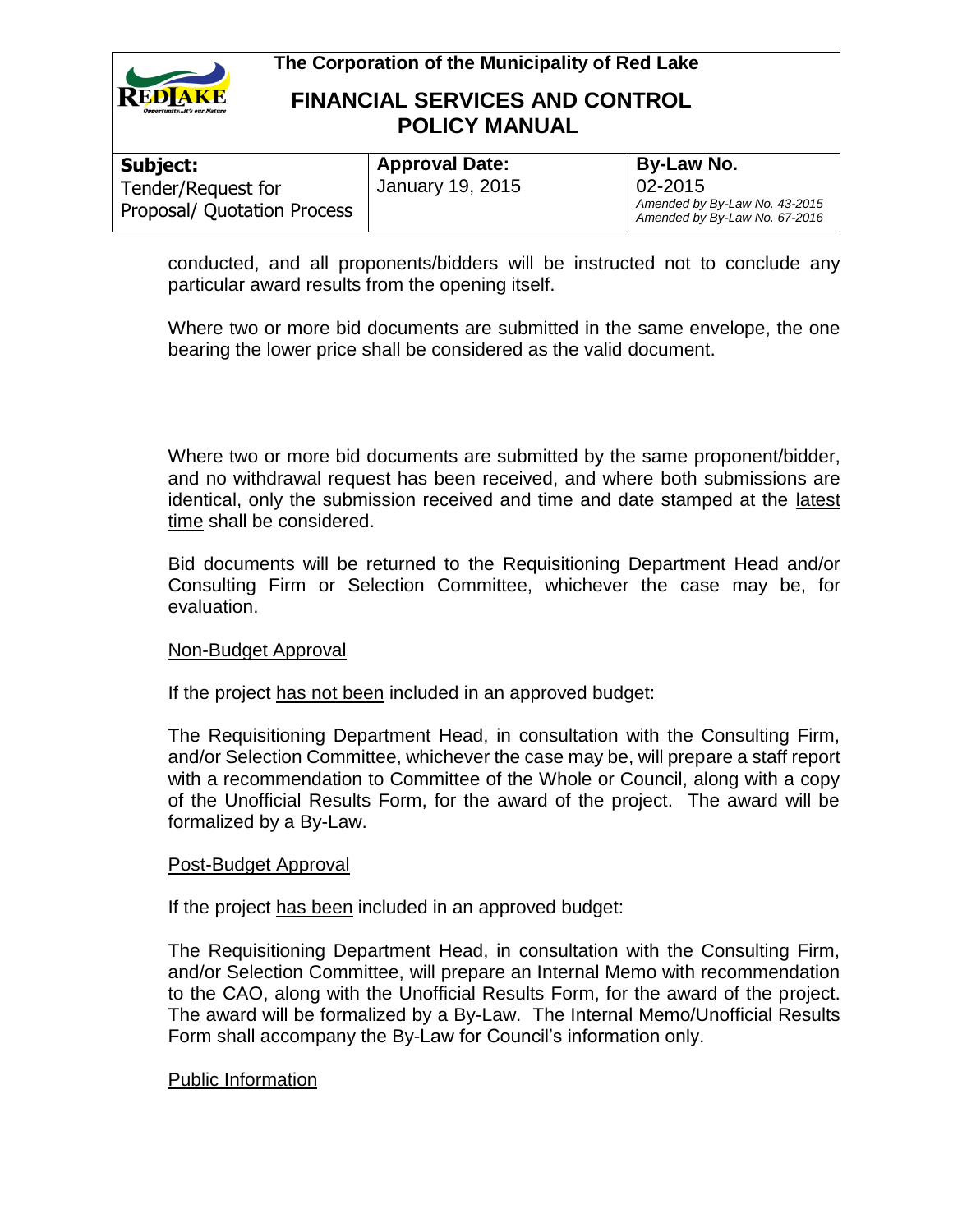

## **FINANCIAL SERVICES AND CONTROL POLICY MANUAL**

| By-Law No.                                                                    |
|-------------------------------------------------------------------------------|
| $02 - 2015$<br>Amended by By-Law No. 43-2015<br>Amended by By-Law No. 67-2016 |
| <b>Approval Date:</b><br>January 19, 2015                                     |

conducted, and all proponents/bidders will be instructed not to conclude any particular award results from the opening itself.

Where two or more bid documents are submitted in the same envelope, the one bearing the lower price shall be considered as the valid document.

Where two or more bid documents are submitted by the same proponent/bidder, and no withdrawal request has been received, and where both submissions are identical, only the submission received and time and date stamped at the latest time shall be considered.

Bid documents will be returned to the Requisitioning Department Head and/or Consulting Firm or Selection Committee, whichever the case may be, for evaluation.

#### Non-Budget Approval

If the project has not been included in an approved budget:

The Requisitioning Department Head, in consultation with the Consulting Firm, and/or Selection Committee, whichever the case may be, will prepare a staff report with a recommendation to Committee of the Whole or Council, along with a copy of the Unofficial Results Form, for the award of the project. The award will be formalized by a By-Law.

#### Post-Budget Approval

If the project has been included in an approved budget:

The Requisitioning Department Head, in consultation with the Consulting Firm, and/or Selection Committee, will prepare an Internal Memo with recommendation to the CAO, along with the Unofficial Results Form, for the award of the project. The award will be formalized by a By-Law. The Internal Memo/Unofficial Results Form shall accompany the By-Law for Council's information only.

#### Public Information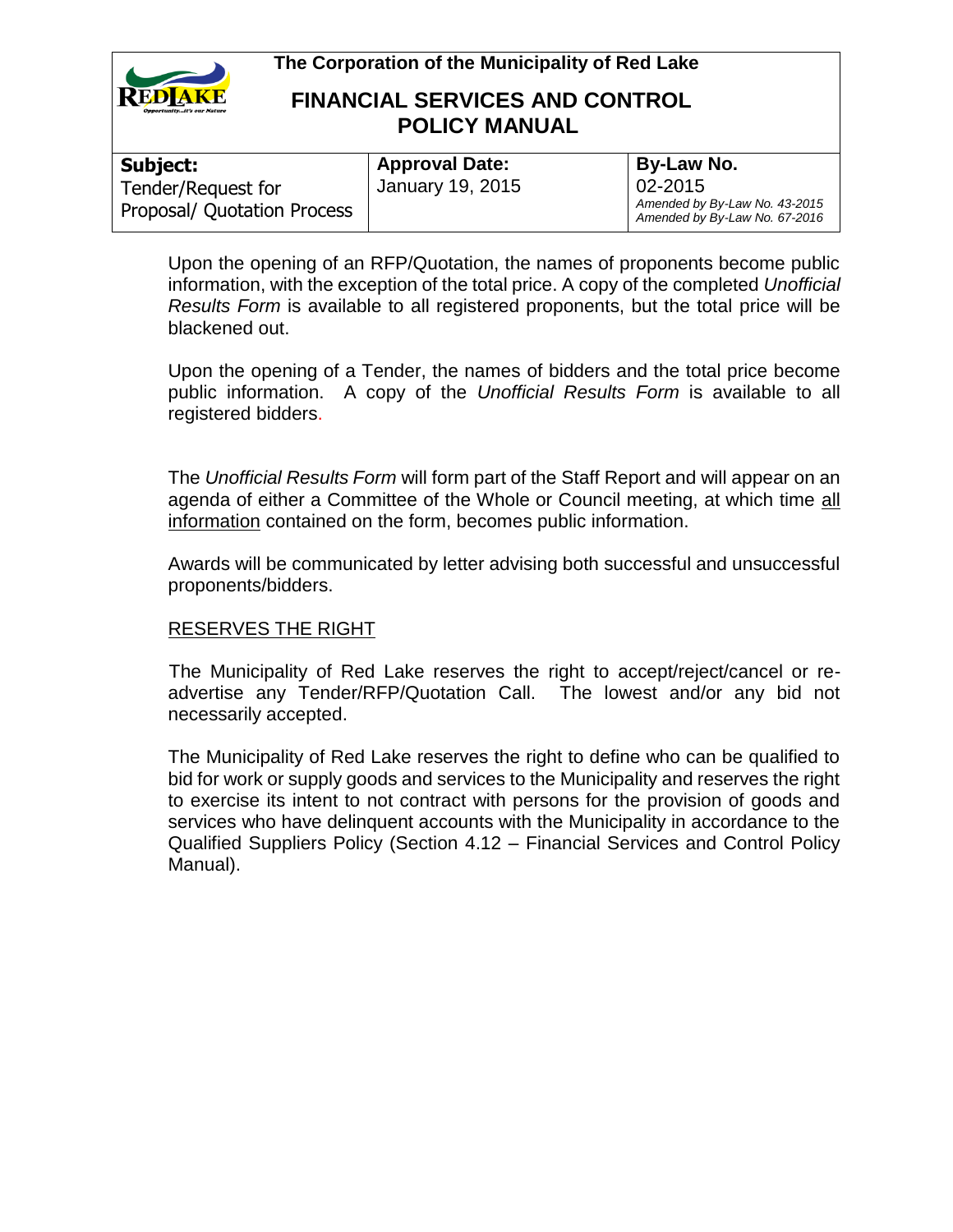

## **FINANCIAL SERVICES AND CONTROL POLICY MANUAL**

| Subject:                    | <b>Approval Date:</b> | By-Law No.                                                     |
|-----------------------------|-----------------------|----------------------------------------------------------------|
| Tender/Request for          | January 19, 2015      | 02-2015                                                        |
| Proposal/ Quotation Process |                       | Amended by By-Law No. 43-2015<br>Amended by By-Law No. 67-2016 |

Upon the opening of an RFP/Quotation, the names of proponents become public information, with the exception of the total price. A copy of the completed *Unofficial Results Form* is available to all registered proponents, but the total price will be blackened out.

Upon the opening of a Tender, the names of bidders and the total price become public information. A copy of the *Unofficial Results Form* is available to all registered bidders.

The *Unofficial Results Form* will form part of the Staff Report and will appear on an agenda of either a Committee of the Whole or Council meeting, at which time all information contained on the form, becomes public information.

Awards will be communicated by letter advising both successful and unsuccessful proponents/bidders.

### RESERVES THE RIGHT

The Municipality of Red Lake reserves the right to accept/reject/cancel or readvertise any Tender/RFP/Quotation Call. The lowest and/or any bid not necessarily accepted.

The Municipality of Red Lake reserves the right to define who can be qualified to bid for work or supply goods and services to the Municipality and reserves the right to exercise its intent to not contract with persons for the provision of goods and services who have delinquent accounts with the Municipality in accordance to the Qualified Suppliers Policy (Section 4.12 – Financial Services and Control Policy Manual).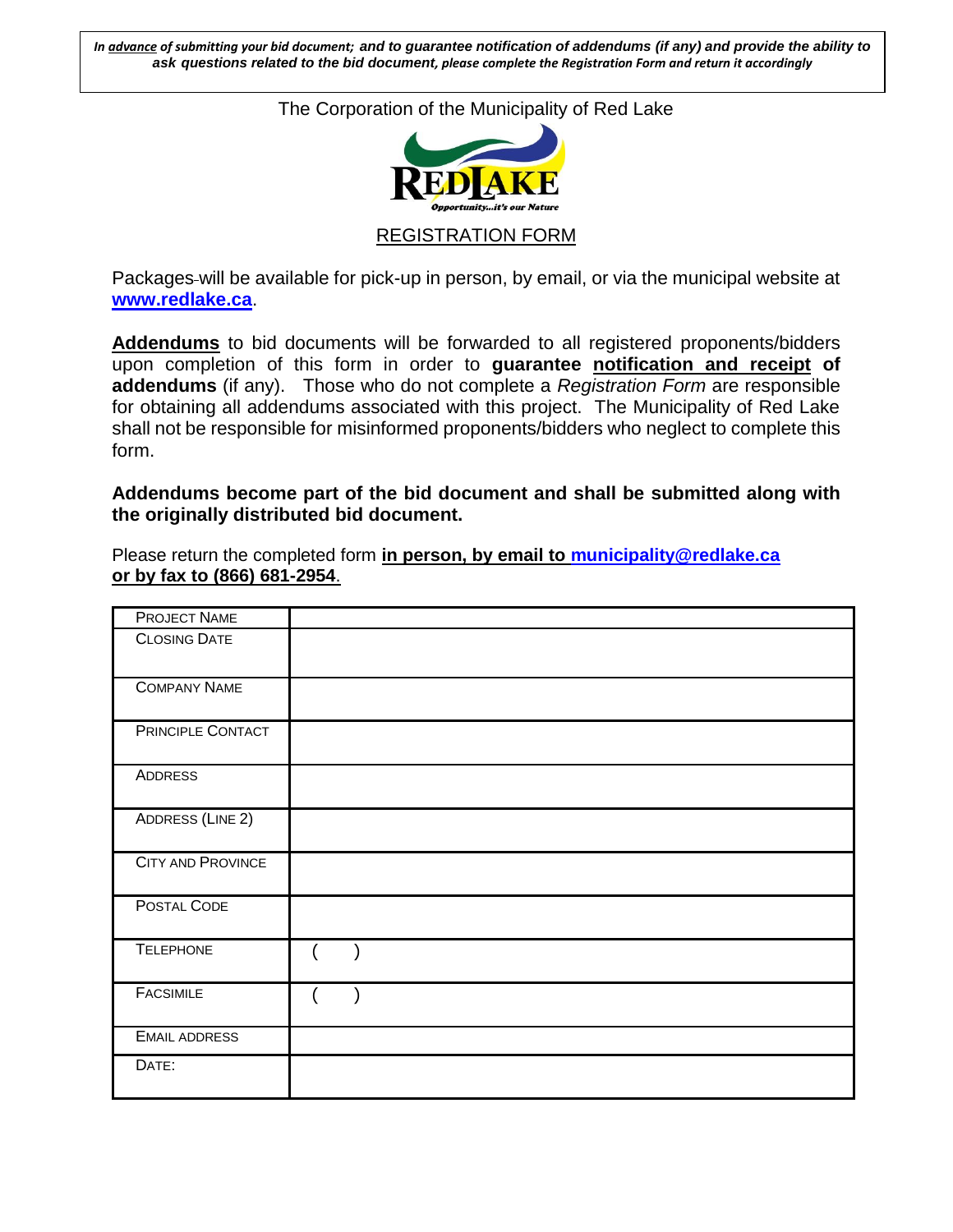*In advance of submitting your bid document; and to guarantee notification of addendums (if any) and provide the ability to ask questions related to the bid document, please complete the Registration Form and return it accordingly*

The Corporation of the Municipality of Red Lake



REGISTRATION FORM

Packages-will be available for pick-up in person, by email, or via the municipal website at **[www.redlake.ca](http://www.redlake.ca/)**.

**Addendums** to bid documents will be forwarded to all registered proponents/bidders upon completion of this form in order to **guarantee notification and receipt of addendums** (if any). Those who do not complete a *Registration Form* are responsible for obtaining all addendums associated with this project. The Municipality of Red Lake shall not be responsible for misinformed proponents/bidders who neglect to complete this form.

**Addendums become part of the bid document and shall be submitted along with the originally distributed bid document.**

Please return the completed form **in person, by email to [municipality@redlake.ca](mailto:municipality@redlake.ca) or by fax to (866) 681-2954**.

| PROJECT NAME             |                           |
|--------------------------|---------------------------|
| <b>CLOSING DATE</b>      |                           |
| <b>COMPANY NAME</b>      |                           |
| PRINCIPLE CONTACT        |                           |
| ADDRESS                  |                           |
| <b>ADDRESS (LINE 2)</b>  |                           |
| <b>CITY AND PROVINCE</b> |                           |
| POSTAL CODE              |                           |
| <b>TELEPHONE</b>         | $\left($<br>$\rightarrow$ |
| <b>FACSIMILE</b>         |                           |
| <b>EMAIL ADDRESS</b>     |                           |
| DATE:                    |                           |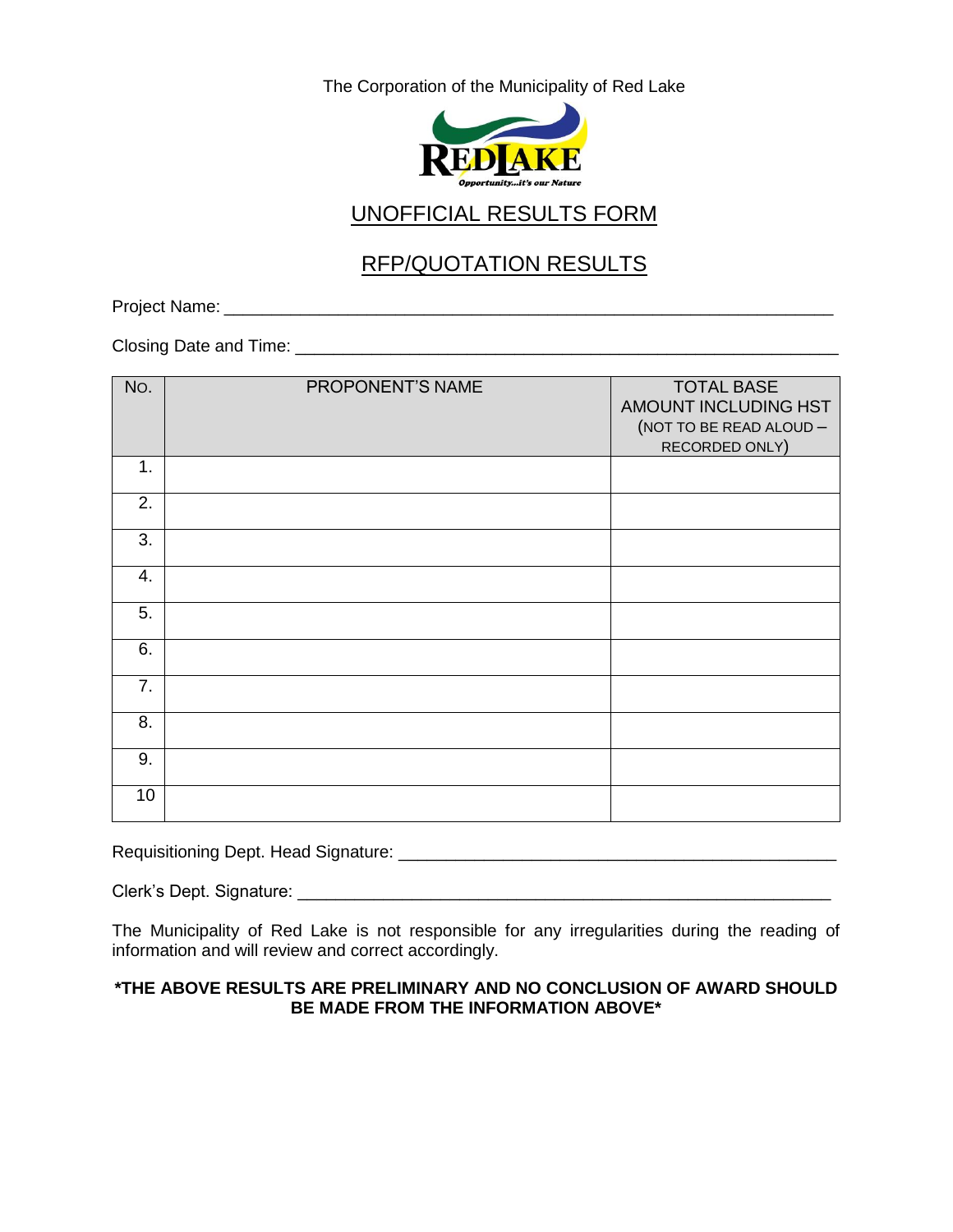

# UNOFFICIAL RESULTS FORM

# RFP/QUOTATION RESULTS

Project Name: \_\_\_\_\_\_\_\_\_\_\_\_\_\_\_\_\_\_\_\_\_\_\_\_\_\_\_\_\_\_\_\_\_\_\_\_\_\_\_\_\_\_\_\_\_\_\_\_\_\_\_\_\_\_\_\_\_\_\_\_\_\_\_\_

Closing Date and Time: \_\_\_\_\_\_\_\_\_\_\_\_\_\_\_\_\_\_\_\_\_\_\_\_\_\_\_\_\_\_\_\_\_\_\_\_\_\_\_\_\_\_\_\_\_\_\_\_\_\_\_\_\_\_\_\_\_

| No. | PROPONENT'S NAME | <b>TOTAL BASE</b><br>AMOUNT INCLUDING HST<br>(NOT TO BE READ ALOUD -<br>RECORDED ONLY) |
|-----|------------------|----------------------------------------------------------------------------------------|
| 1.  |                  |                                                                                        |
| 2.  |                  |                                                                                        |
| 3.  |                  |                                                                                        |
| 4.  |                  |                                                                                        |
| 5.  |                  |                                                                                        |
| 6.  |                  |                                                                                        |
| 7.  |                  |                                                                                        |
| 8.  |                  |                                                                                        |
| 9.  |                  |                                                                                        |
| 10  |                  |                                                                                        |

Requisitioning Dept. Head Signature: \_\_\_\_\_\_\_\_\_\_\_\_\_\_\_\_\_\_\_\_\_\_\_\_\_\_\_\_\_\_\_\_\_\_\_\_\_\_\_\_\_\_\_\_\_\_

Clerk's Dept. Signature: \_\_\_\_\_\_\_\_\_\_\_\_\_\_\_\_\_\_\_\_\_\_\_\_\_\_\_\_\_\_\_\_\_\_\_\_\_\_\_\_\_\_\_\_\_\_\_\_\_\_\_\_\_\_\_\_

The Municipality of Red Lake is not responsible for any irregularities during the reading of information and will review and correct accordingly.

#### **\*THE ABOVE RESULTS ARE PRELIMINARY AND NO CONCLUSION OF AWARD SHOULD BE MADE FROM THE INFORMATION ABOVE\***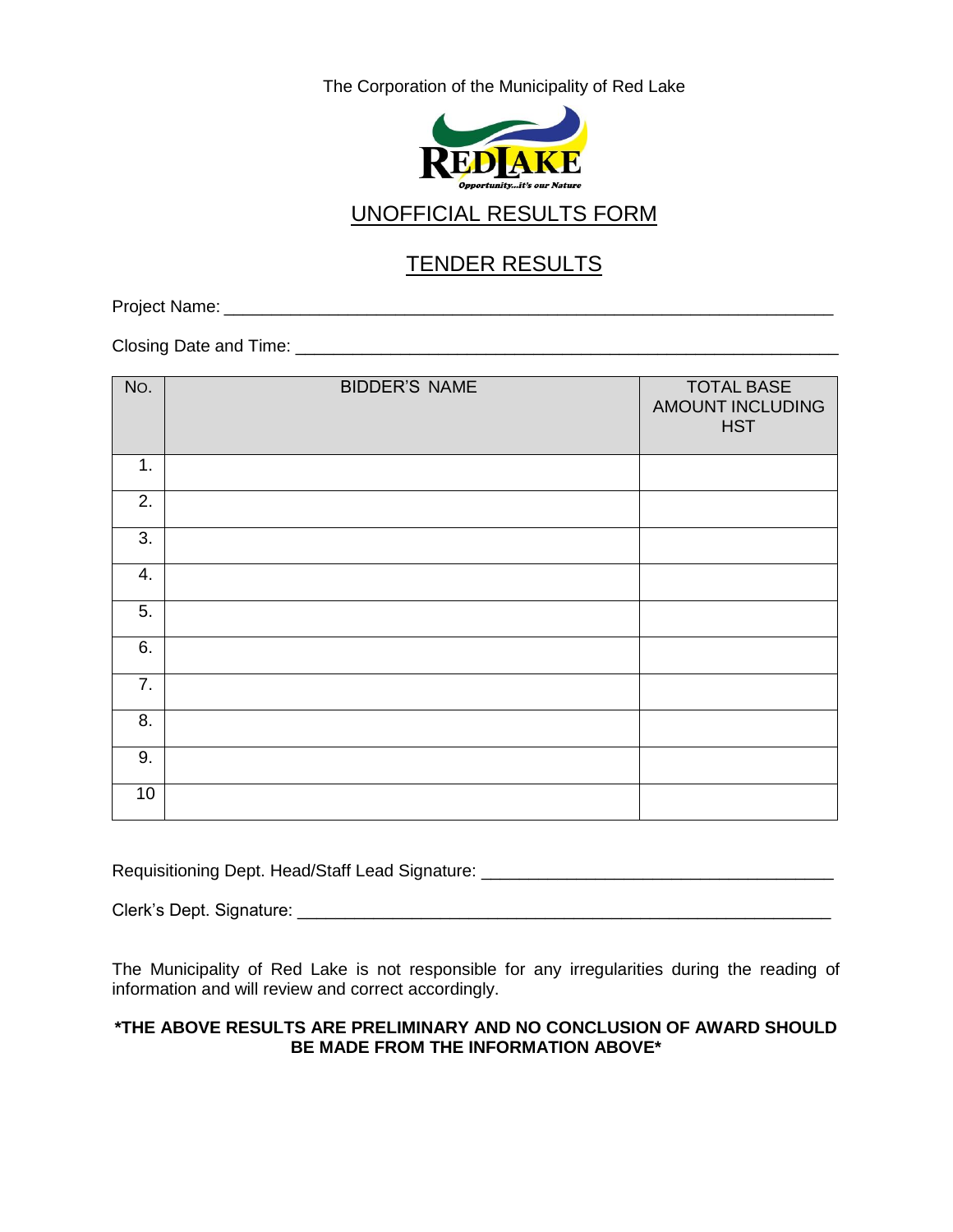

# UNOFFICIAL RESULTS FORM

# TENDER RESULTS

Project Name: \_\_\_\_\_\_\_\_\_\_\_\_\_\_\_\_\_\_\_\_\_\_\_\_\_\_\_\_\_\_\_\_\_\_\_\_\_\_\_\_\_\_\_\_\_\_\_\_\_\_\_\_\_\_\_\_\_\_\_\_\_\_\_\_

Closing Date and Time: \_\_\_\_\_\_\_\_\_\_\_\_\_\_\_\_\_\_\_\_\_\_\_\_\_\_\_\_\_\_\_\_\_\_\_\_\_\_\_\_\_\_\_\_\_\_\_\_\_\_\_\_\_\_\_\_\_

| No. | <b>BIDDER'S NAME</b> | <b>TOTAL BASE</b><br>AMOUNT INCLUDING<br><b>HST</b> |
|-----|----------------------|-----------------------------------------------------|
| 1.  |                      |                                                     |
| 2.  |                      |                                                     |
| 3.  |                      |                                                     |
| 4.  |                      |                                                     |
| 5.  |                      |                                                     |
| 6.  |                      |                                                     |
| 7.  |                      |                                                     |
| 8.  |                      |                                                     |
| 9.  |                      |                                                     |
| 10  |                      |                                                     |

Requisitioning Dept. Head/Staff Lead Signature: \_\_\_\_\_\_\_\_\_\_\_\_\_\_\_\_\_\_\_\_\_\_\_\_\_\_\_\_\_\_\_\_

Clerk's Dept. Signature: \_\_\_\_\_\_\_\_\_\_\_\_\_\_\_\_\_\_\_\_\_\_\_\_\_\_\_\_\_\_\_\_\_\_\_\_\_\_\_\_\_\_\_\_\_\_\_\_\_\_\_\_\_\_\_\_

The Municipality of Red Lake is not responsible for any irregularities during the reading of information and will review and correct accordingly.

#### **\*THE ABOVE RESULTS ARE PRELIMINARY AND NO CONCLUSION OF AWARD SHOULD BE MADE FROM THE INFORMATION ABOVE\***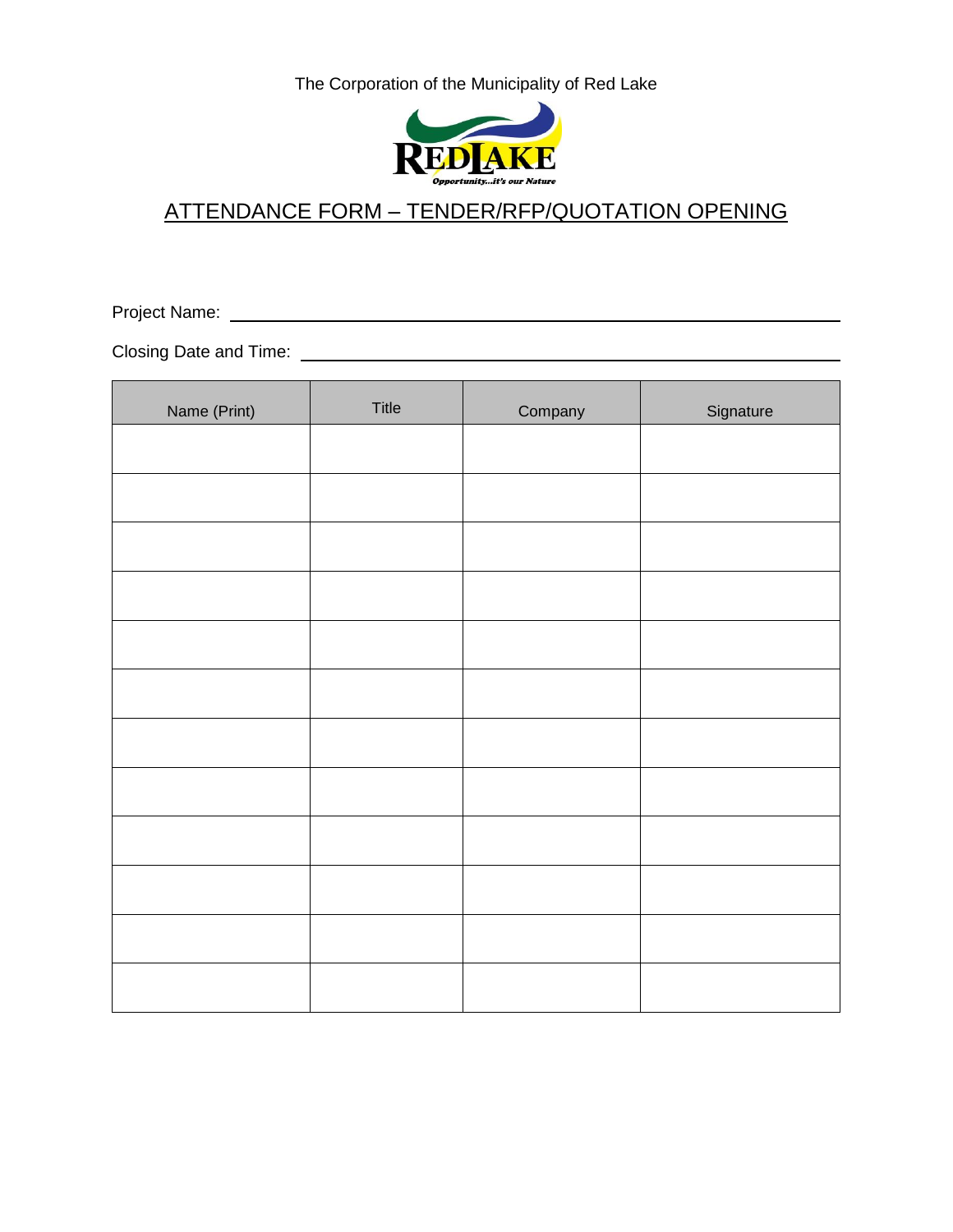

# ATTENDANCE FORM – TENDER/RFP/QUOTATION OPENING

Project Name:

Closing Date and Time:

| Name (Print) | Title | Company | Signature |
|--------------|-------|---------|-----------|
|              |       |         |           |
|              |       |         |           |
|              |       |         |           |
|              |       |         |           |
|              |       |         |           |
|              |       |         |           |
|              |       |         |           |
|              |       |         |           |
|              |       |         |           |
|              |       |         |           |
|              |       |         |           |
|              |       |         |           |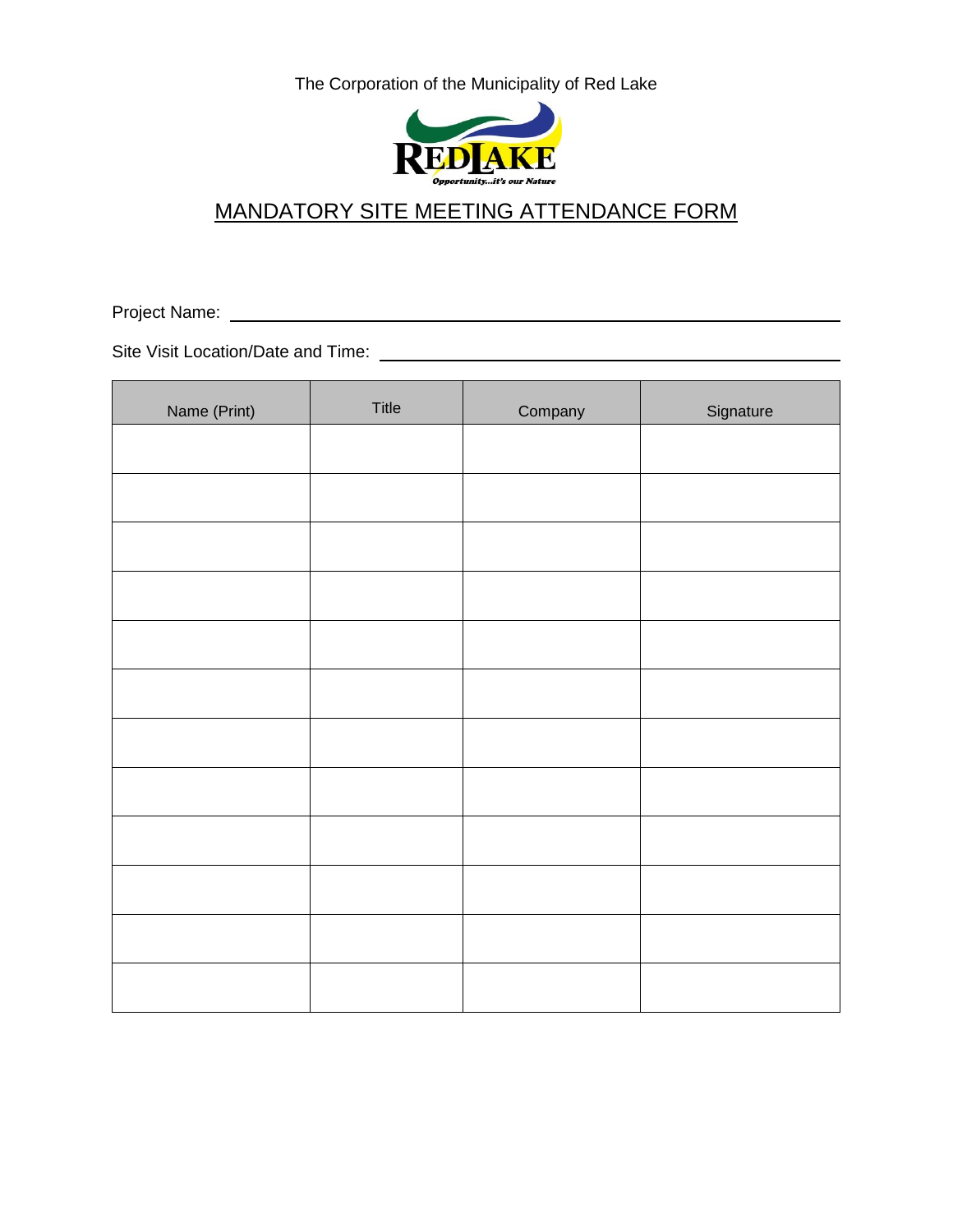

# MANDATORY SITE MEETING ATTENDANCE FORM

Project Name:

Site Visit Location/Date and Time:

| Name (Print) | Title | Company | Signature |
|--------------|-------|---------|-----------|
|              |       |         |           |
|              |       |         |           |
|              |       |         |           |
|              |       |         |           |
|              |       |         |           |
|              |       |         |           |
|              |       |         |           |
|              |       |         |           |
|              |       |         |           |
|              |       |         |           |
|              |       |         |           |
|              |       |         |           |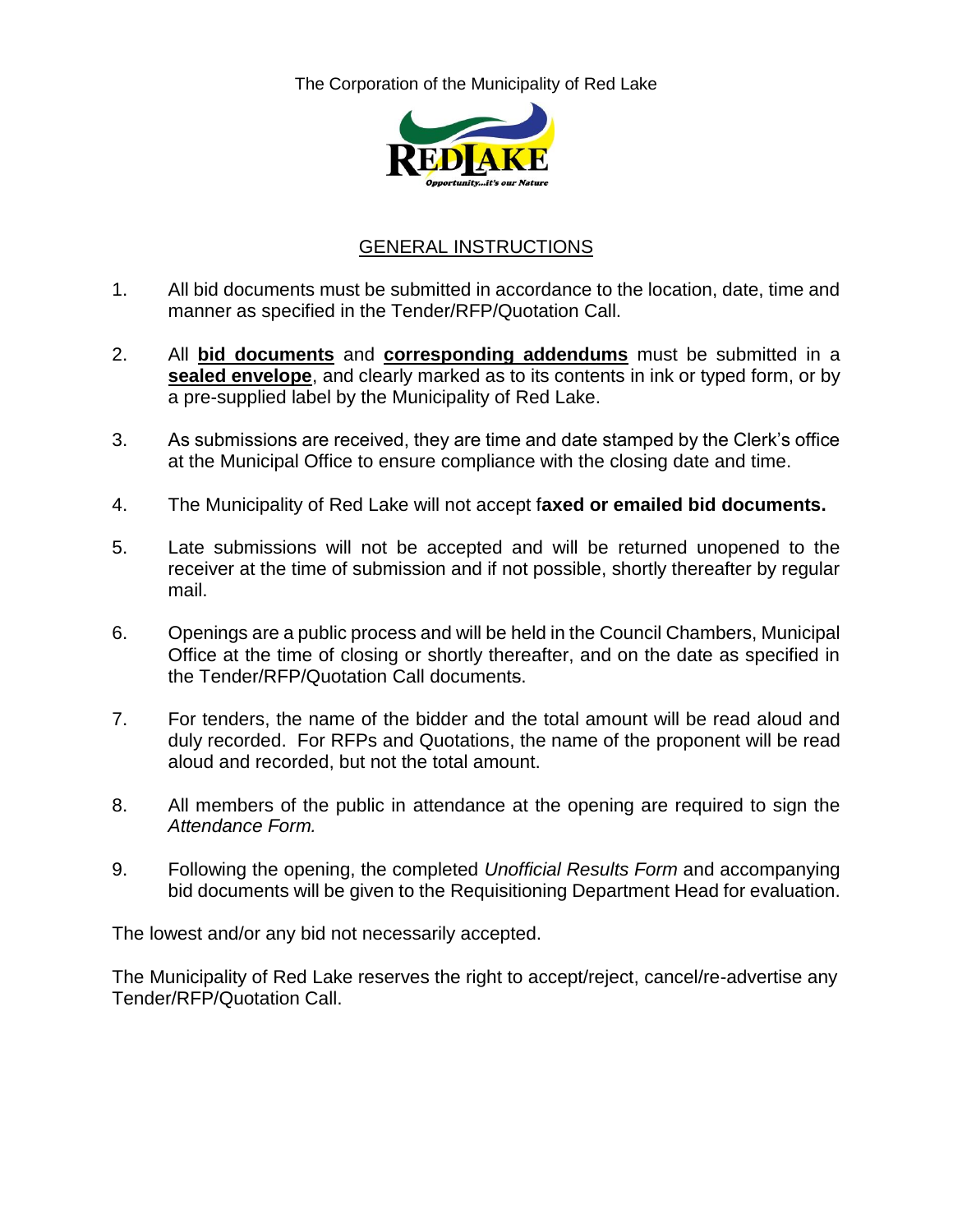

### GENERAL INSTRUCTIONS

- 1. All bid documents must be submitted in accordance to the location, date, time and manner as specified in the Tender/RFP/Quotation Call.
- 2. All **bid documents** and **corresponding addendums** must be submitted in a **sealed envelope**, and clearly marked as to its contents in ink or typed form, or by a pre-supplied label by the Municipality of Red Lake.
- 3. As submissions are received, they are time and date stamped by the Clerk's office at the Municipal Office to ensure compliance with the closing date and time.
- 4. The Municipality of Red Lake will not accept f**axed or emailed bid documents.**
- 5. Late submissions will not be accepted and will be returned unopened to the receiver at the time of submission and if not possible, shortly thereafter by regular mail.
- 6. Openings are a public process and will be held in the Council Chambers, Municipal Office at the time of closing or shortly thereafter, and on the date as specified in the Tender/RFP/Quotation Call documents.
- 7. For tenders, the name of the bidder and the total amount will be read aloud and duly recorded. For RFPs and Quotations, the name of the proponent will be read aloud and recorded, but not the total amount.
- 8. All members of the public in attendance at the opening are required to sign the *Attendance Form.*
- 9. Following the opening, the completed *Unofficial Results Form* and accompanying bid documents will be given to the Requisitioning Department Head for evaluation.

The lowest and/or any bid not necessarily accepted.

The Municipality of Red Lake reserves the right to accept/reject, cancel/re-advertise any Tender/RFP/Quotation Call.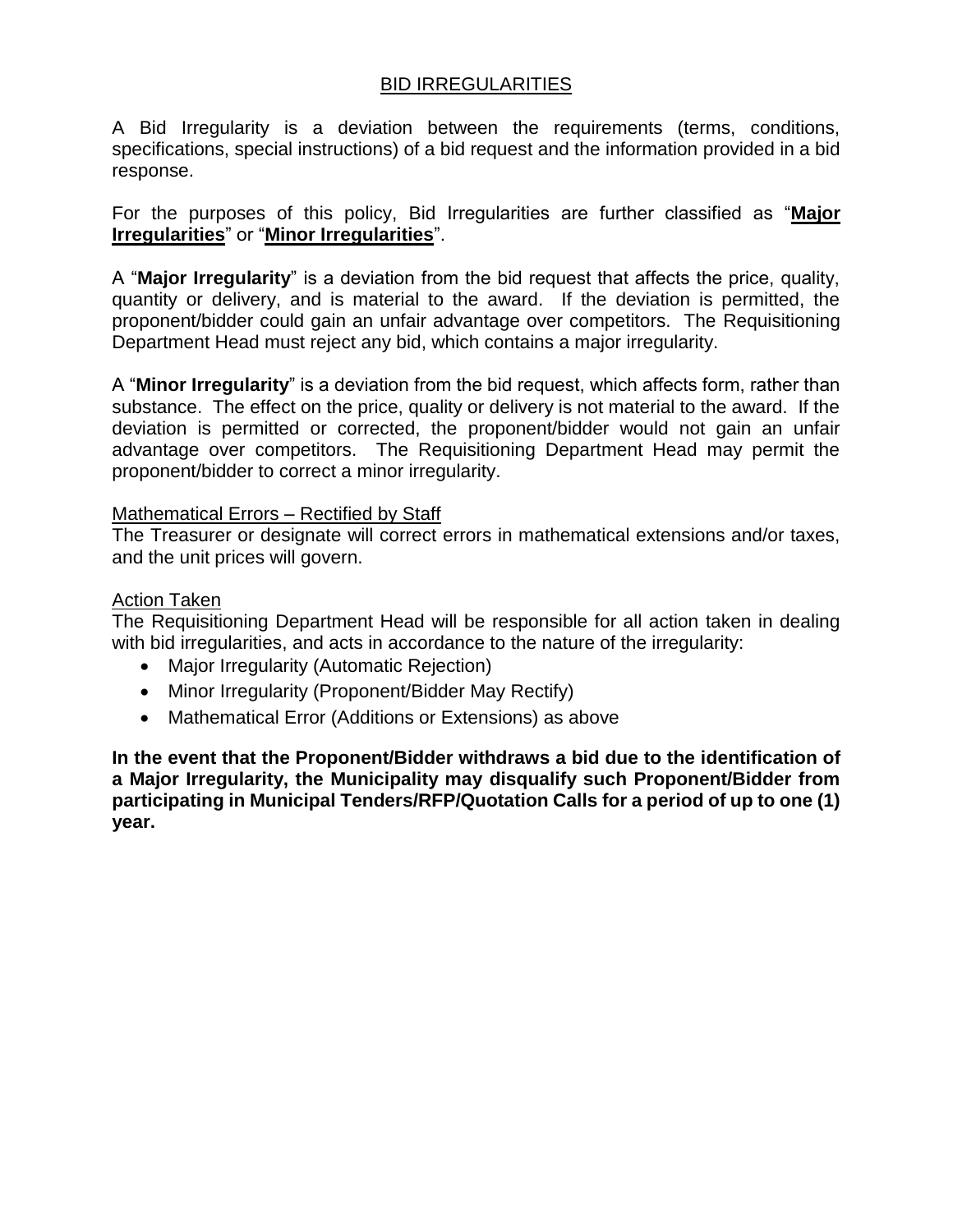### BID IRREGULARITIES

A Bid Irregularity is a deviation between the requirements (terms, conditions, specifications, special instructions) of a bid request and the information provided in a bid response.

For the purposes of this policy, Bid Irregularities are further classified as "**Major Irregularities**" or "**Minor Irregularities**".

A "**Major Irregularity**" is a deviation from the bid request that affects the price, quality, quantity or delivery, and is material to the award. If the deviation is permitted, the proponent/bidder could gain an unfair advantage over competitors. The Requisitioning Department Head must reject any bid, which contains a major irregularity.

A "**Minor Irregularity**" is a deviation from the bid request, which affects form, rather than substance. The effect on the price, quality or delivery is not material to the award. If the deviation is permitted or corrected, the proponent/bidder would not gain an unfair advantage over competitors. The Requisitioning Department Head may permit the proponent/bidder to correct a minor irregularity.

### Mathematical Errors – Rectified by Staff

The Treasurer or designate will correct errors in mathematical extensions and/or taxes, and the unit prices will govern.

#### Action Taken

The Requisitioning Department Head will be responsible for all action taken in dealing with bid irregularities, and acts in accordance to the nature of the irregularity:

- Major Irregularity (Automatic Rejection)
- Minor Irregularity (Proponent/Bidder May Rectify)
- Mathematical Error (Additions or Extensions) as above

**In the event that the Proponent/Bidder withdraws a bid due to the identification of a Major Irregularity, the Municipality may disqualify such Proponent/Bidder from participating in Municipal Tenders/RFP/Quotation Calls for a period of up to one (1) year.**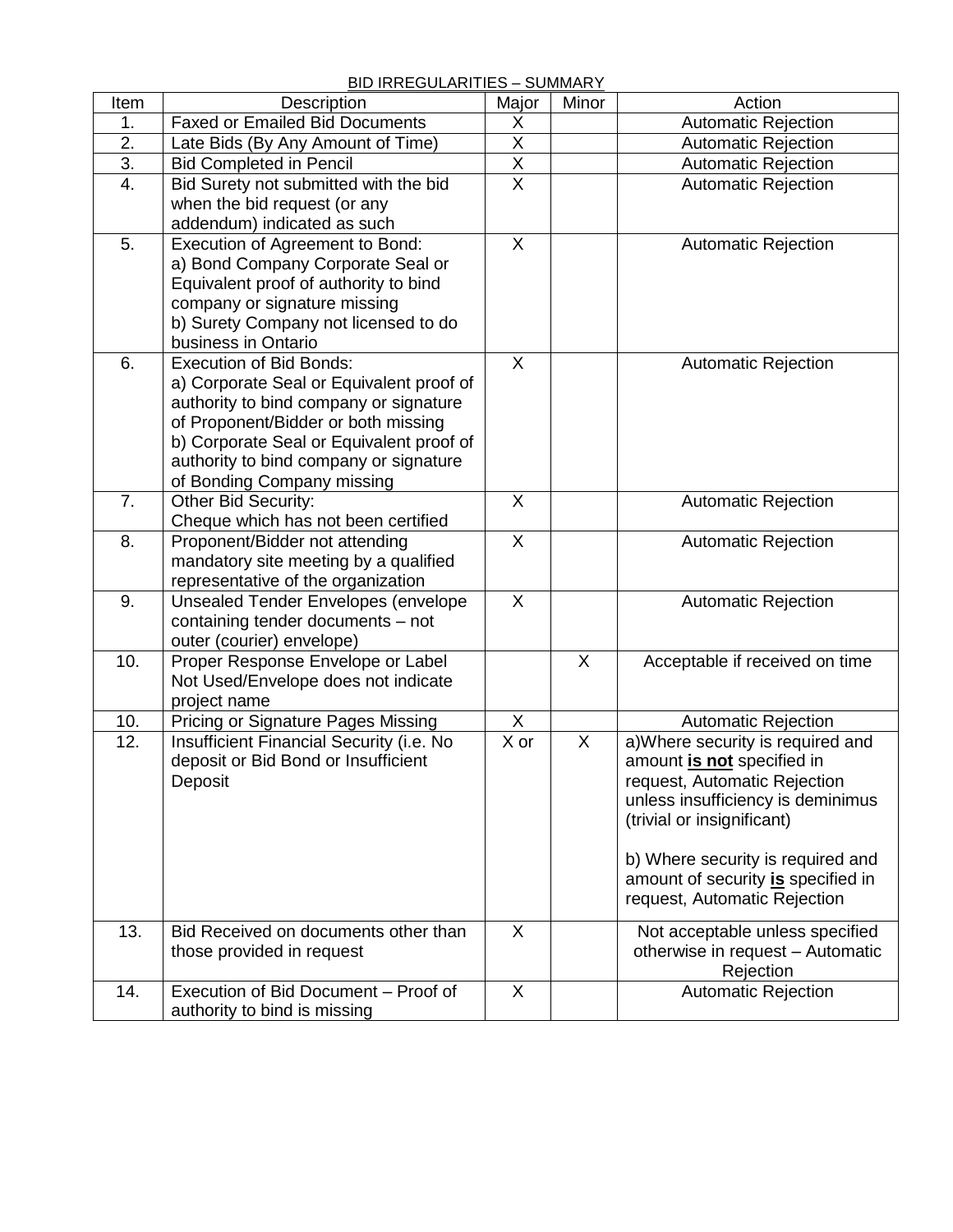### BID IRREGULARITIES – SUMMARY

|      | <b>DID INNLOULAINTILO – JUMIMANT</b>       |                         |       |                                    |
|------|--------------------------------------------|-------------------------|-------|------------------------------------|
| Item | Description                                | Major                   | Minor | Action                             |
| 1.   | <b>Faxed or Emailed Bid Documents</b>      | X                       |       | <b>Automatic Rejection</b>         |
| 2.   | Late Bids (By Any Amount of Time)          | $\overline{X}$          |       | <b>Automatic Rejection</b>         |
| 3.   | <b>Bid Completed in Pencil</b>             | X                       |       | <b>Automatic Rejection</b>         |
| 4.   | Bid Surety not submitted with the bid      | $\overline{X}$          |       | <b>Automatic Rejection</b>         |
|      | when the bid request (or any               |                         |       |                                    |
|      | addendum) indicated as such                |                         |       |                                    |
| 5.   | Execution of Agreement to Bond:            | $\overline{X}$          |       | <b>Automatic Rejection</b>         |
|      | a) Bond Company Corporate Seal or          |                         |       |                                    |
|      | Equivalent proof of authority to bind      |                         |       |                                    |
|      | company or signature missing               |                         |       |                                    |
|      | b) Surety Company not licensed to do       |                         |       |                                    |
|      | business in Ontario                        |                         |       |                                    |
| 6.   | <b>Execution of Bid Bonds:</b>             | $\overline{\mathsf{x}}$ |       | <b>Automatic Rejection</b>         |
|      | a) Corporate Seal or Equivalent proof of   |                         |       |                                    |
|      | authority to bind company or signature     |                         |       |                                    |
|      | of Proponent/Bidder or both missing        |                         |       |                                    |
|      | b) Corporate Seal or Equivalent proof of   |                         |       |                                    |
|      | authority to bind company or signature     |                         |       |                                    |
|      |                                            |                         |       |                                    |
| 7.   | of Bonding Company missing                 | X                       |       |                                    |
|      | Other Bid Security:                        |                         |       | <b>Automatic Rejection</b>         |
|      | Cheque which has not been certified        |                         |       |                                    |
| 8.   | Proponent/Bidder not attending             | $\mathsf{X}$            |       | <b>Automatic Rejection</b>         |
|      | mandatory site meeting by a qualified      |                         |       |                                    |
|      | representative of the organization         |                         |       |                                    |
| 9.   | <b>Unsealed Tender Envelopes (envelope</b> | X                       |       | <b>Automatic Rejection</b>         |
|      | containing tender documents - not          |                         |       |                                    |
|      | outer (courier) envelope)                  |                         |       |                                    |
| 10.  | Proper Response Envelope or Label          |                         | X     | Acceptable if received on time     |
|      | Not Used/Envelope does not indicate        |                         |       |                                    |
|      | project name                               |                         |       |                                    |
| 10.  | <b>Pricing or Signature Pages Missing</b>  | X                       |       | <b>Automatic Rejection</b>         |
| 12.  | Insufficient Financial Security (i.e. No   | $\overline{X}$ or       | X     | a) Where security is required and  |
|      | deposit or Bid Bond or Insufficient        |                         |       | amount is not specified in         |
|      | Deposit                                    |                         |       | request, Automatic Rejection       |
|      |                                            |                         |       | unless insufficiency is deminimus  |
|      |                                            |                         |       | (trivial or insignificant)         |
|      |                                            |                         |       |                                    |
|      |                                            |                         |       | b) Where security is required and  |
|      |                                            |                         |       | amount of security is specified in |
|      |                                            |                         |       | request, Automatic Rejection       |
| 13.  | Bid Received on documents other than       | X                       |       | Not acceptable unless specified    |
|      | those provided in request                  |                         |       | otherwise in request - Automatic   |
|      |                                            |                         |       | Rejection                          |
| 14.  | Execution of Bid Document - Proof of       | X                       |       | <b>Automatic Rejection</b>         |
|      | authority to bind is missing               |                         |       |                                    |